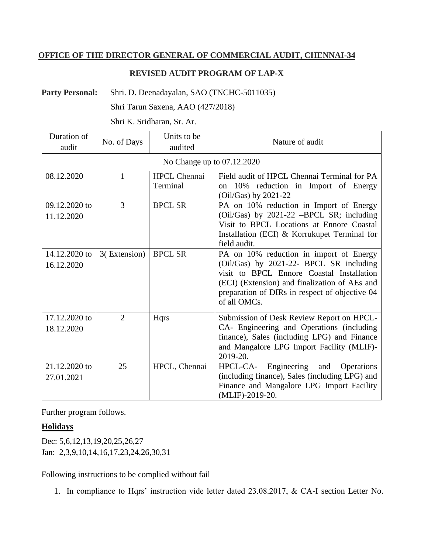## **OFFICE OF THE DIRECTOR GENERAL OF COMMERCIAL AUDIT, CHENNAI-34**

## **REVISED AUDIT PROGRAM OF LAP-X**

Party Personal: Shri. D. Deenadayalan, SAO (TNCHC-5011035)

Shri Tarun Saxena, AAO (427/2018)

Shri K. Sridharan, Sr. Ar.

| Duration of<br>audit        | No. of Days    | Units to be<br>audited          | Nature of audit                                                                                                                                                                                                                                    |
|-----------------------------|----------------|---------------------------------|----------------------------------------------------------------------------------------------------------------------------------------------------------------------------------------------------------------------------------------------------|
| No Change up to 07.12.2020  |                |                                 |                                                                                                                                                                                                                                                    |
| 08.12.2020                  | 1              | <b>HPCL Chennai</b><br>Terminal | Field audit of HPCL Chennai Terminal for PA<br>on 10% reduction in Import of Energy<br>$(Oil/Gas)$ by 2021-22                                                                                                                                      |
| 09.12.2020 to<br>11.12.2020 | 3              | <b>BPCL SR</b>                  | PA on 10% reduction in Import of Energy<br>(Oil/Gas) by 2021-22 -BPCL SR; including<br>Visit to BPCL Locations at Ennore Coastal<br>Installation (ECI) & Korrukupet Terminal for<br>field audit.                                                   |
| 14.12.2020 to<br>16.12.2020 | 3(Extension)   | <b>BPCL SR</b>                  | PA on 10% reduction in import of Energy<br>(Oil/Gas) by 2021-22- BPCL SR including<br>visit to BPCL Ennore Coastal Installation<br>(ECI) (Extension) and finalization of AEs and<br>preparation of DIRs in respect of objective 04<br>of all OMCs. |
| 17.12.2020 to<br>18.12.2020 | $\overline{2}$ | <b>Hqrs</b>                     | Submission of Desk Review Report on HPCL-<br>CA- Engineering and Operations (including<br>finance), Sales (including LPG) and Finance<br>and Mangalore LPG Import Facility (MLIF)-<br>2019-20.                                                     |
| 21.12.2020 to<br>27.01.2021 | 25             | HPCL, Chennai                   | Engineering<br>HPCL-CA-<br>and<br>Operations<br>(including finance), Sales (including LPG) and<br>Finance and Mangalore LPG Import Facility<br>(MLIF)-2019-20.                                                                                     |

Further program follows.

## **Holidays**

Dec: 5,6,12,13,19,20,25,26,27 Jan: 2,3,9,10,14,16,17,23,24,26,30,31

Following instructions to be complied without fail

1. In compliance to Hqrs' instruction vide letter dated 23.08.2017, & CA-I section Letter No.